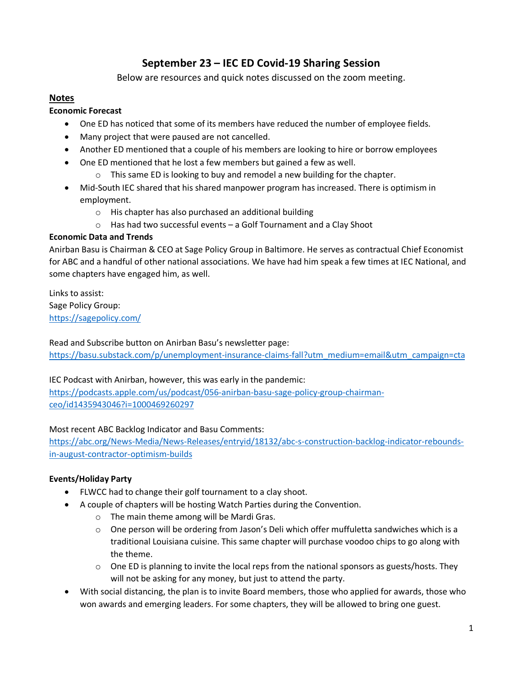# **September 23 – IEC ED Covid-19 Sharing Session**

Below are resources and quick notes discussed on the zoom meeting.

# **Notes**

## **Economic Forecast**

- One ED has noticed that some of its members have reduced the number of employee fields.
- Many project that were paused are not cancelled.
- Another ED mentioned that a couple of his members are looking to hire or borrow employees
- One ED mentioned that he lost a few members but gained a few as well.
	- $\circ$  This same ED is looking to buy and remodel a new building for the chapter.
- Mid-South IEC shared that his shared manpower program has increased. There is optimism in employment.
	- o His chapter has also purchased an additional building
	- o Has had two successful events a Golf Tournament and a Clay Shoot

## **Economic Data and Trends**

Anirban Basu is Chairman & CEO at Sage Policy Group in Baltimore. He serves as contractual Chief Economist for ABC and a handful of other national associations. We have had him speak a few times at IEC National, and some chapters have engaged him, as well.

Links to assist: Sage Policy Group: <https://sagepolicy.com/>

Read and Subscribe button on Anirban Basu's newsletter page:

[https://basu.substack.com/p/unemployment-insurance-claims-fall?utm\\_medium=email&utm\\_campaign=cta](https://basu.substack.com/p/unemployment-insurance-claims-fall?utm_medium=email&utm_campaign=cta)

IEC Podcast with Anirban, however, this was early in the pandemic:

[https://podcasts.apple.com/us/podcast/056-anirban-basu-sage-policy-group-chairman](https://podcasts.apple.com/us/podcast/056-anirban-basu-sage-policy-group-chairman-ceo/id1435943046?i=1000469260297)[ceo/id1435943046?i=1000469260297](https://podcasts.apple.com/us/podcast/056-anirban-basu-sage-policy-group-chairman-ceo/id1435943046?i=1000469260297)

#### Most recent ABC Backlog Indicator and Basu Comments:

[https://abc.org/News-Media/News-Releases/entryid/18132/abc-s-construction-backlog-indicator-rebounds](https://abc.org/News-Media/News-Releases/entryid/18132/abc-s-construction-backlog-indicator-rebounds-in-august-contractor-optimism-builds)[in-august-contractor-optimism-builds](https://abc.org/News-Media/News-Releases/entryid/18132/abc-s-construction-backlog-indicator-rebounds-in-august-contractor-optimism-builds)

## **Events/Holiday Party**

- FLWCC had to change their golf tournament to a clay shoot.
- A couple of chapters will be hosting Watch Parties during the Convention.
	- o The main theme among will be Mardi Gras.
	- o One person will be ordering from Jason's Deli which offer muffuletta sandwiches which is a traditional Louisiana cuisine. This same chapter will purchase voodoo chips to go along with the theme.
	- $\circ$  One ED is planning to invite the local reps from the national sponsors as guests/hosts. They will not be asking for any money, but just to attend the party.
- With social distancing, the plan is to invite Board members, those who applied for awards, those who won awards and emerging leaders. For some chapters, they will be allowed to bring one guest.